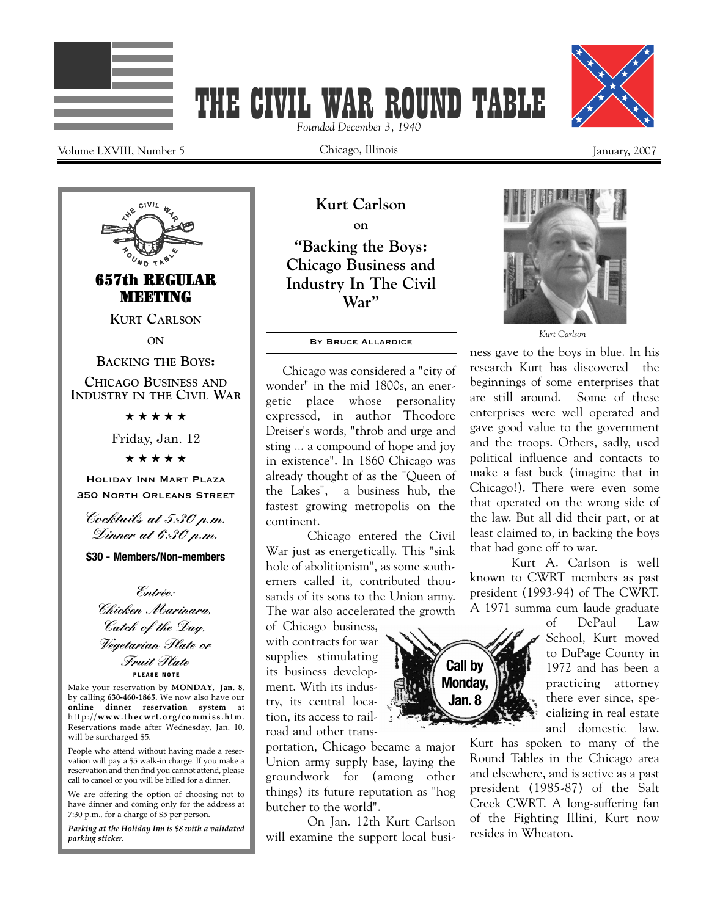



Volume LXVIII, Number 5 January, 2007

Chicago, Illinois

*Founded December 3, 1940*



**ON**

**BACKING THE BOYS:**

**CHICAGO BUSINESS AND INDUSTRY IN THE CIVIL WAR**

★ ★ ★ ★ ★

Friday, Jan. 12

★ ★ ★ ★ ★

Holiday Inn Mart Plaza 350 North Orleans Street

Cocktails at 5:30 p.m. Dinner at 6:30 p.m.

**\$30 - Members/Non-members**

**P L E A S E NOT E** Entrée: Chicken Marinara, Catch of the Day, Vegetarian Plate or Fruit Plate

Make your reservation by **MONDAY, Jan. 8**, by calling **630-460-1865**. We now also have our **online dinner reservation system** at http://**www.the cwrt.org/ commi s s .htm**. Reservations made after Wednesday, Jan. 10, will be surcharged \$5.

People who attend without having made a reservation will pay a \$5 walk-in charge. If you make a reservation and then find you cannot attend, please call to cancel or you will be billed for a dinner.

We are offering the option of choosing not to have dinner and coming only for the address at 7:30 p.m., for a charge of \$5 per person.

*Parking at the Holiday Inn is \$8 with a validated parking sticker.*

**Kurt Carlson on "Backing the Boys: Chicago Business and Industry In The Civil War"**

#### By Bruce Allardice

Chicago was considered a "city of wonder" in the mid 1800s, an energetic place whose personality expressed, in author Theodore Dreiser's words, "throb and urge and sting ... a compound of hope and joy in existence". In 1860 Chicago was already thought of as the "Queen of the Lakes", a business hub, the fastest growing metropolis on the continent.

Chicago entered the Civil War just as energetically. This "sink hole of abolitionism", as some southerners called it, contributed thousands of its sons to the Union army. The war also accelerated the growth

of Chicago business, with contracts for war supplies stimulating its business development. With its industry, its central location, its access to railroad and other trans-

portation, Chicago became a major Union army supply base, laying the groundwork for (among other things) its future reputation as "hog butcher to the world".

On Jan. 12th Kurt Carlson will examine the support local busi-



*Kurt Carlson*

ness gave to the boys in blue. In his research Kurt has discovered the beginnings of some enterprises that are still around. Some of these enterprises were well operated and gave good value to the government and the troops. Others, sadly, used political influence and contacts to make a fast buck (imagine that in Chicago!). There were even some that operated on the wrong side of the law. But all did their part, or at least claimed to, in backing the boys that had gone off to war.

Kurt A. Carlson is well known to CWRT members as past president (1993-94) of The CWRT. A 1971 summa cum laude graduate

of DePaul Law School, Kurt moved to DuPage County in 1972 and has been a practicing attorney there ever since, specializing in real estate and domestic law.

Kurt has spoken to many of the Round Tables in the Chicago area and elsewhere, and is active as a past president (1985-87) of the Salt Creek CWRT. A long-suffering fan of the Fighting Illini, Kurt now resides in Wheaton.

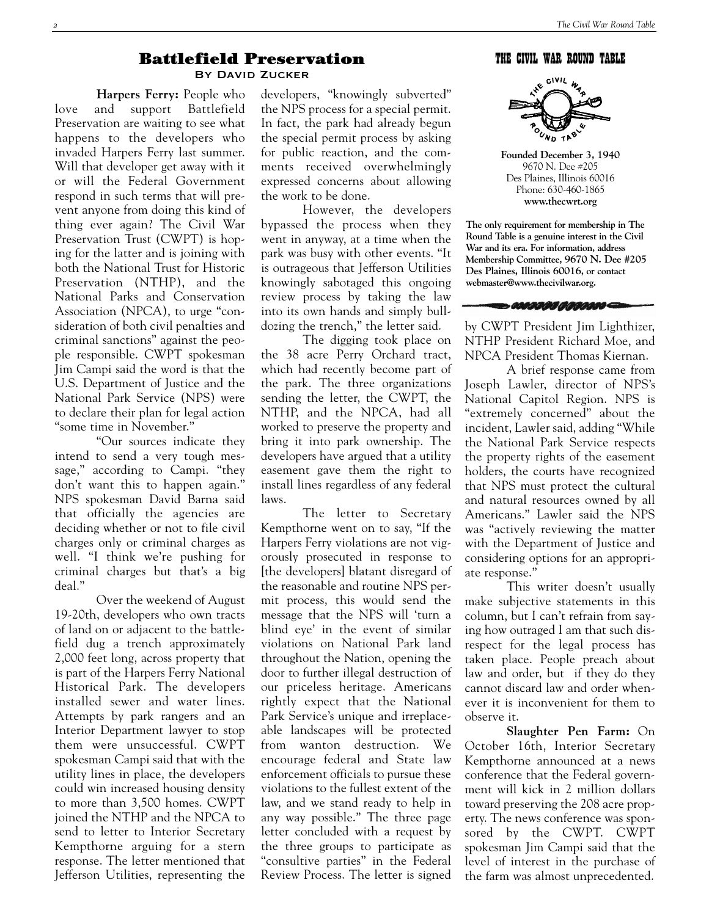#### Battlefield Preservation By David Zucker

**Harpers Ferry:** People who love and support Battlefield Preservation are waiting to see what happens to the developers who invaded Harpers Ferry last summer. Will that developer get away with it or will the Federal Government respond in such terms that will prevent anyone from doing this kind of thing ever again? The Civil War Preservation Trust (CWPT) is hoping for the latter and is joining with both the National Trust for Historic Preservation (NTHP), and the National Parks and Conservation Association (NPCA), to urge "consideration of both civil penalties and criminal sanctions" against the people responsible. CWPT spokesman Jim Campi said the word is that the U.S. Department of Justice and the National Park Service (NPS) were to declare their plan for legal action "some time in November."

"Our sources indicate they intend to send a very tough message," according to Campi. "they don't want this to happen again." NPS spokesman David Barna said that officially the agencies are deciding whether or not to file civil charges only or criminal charges as well. "I think we're pushing for criminal charges but that's a big deal."

Over the weekend of August 19-20th, developers who own tracts of land on or adjacent to the battlefield dug a trench approximately 2,000 feet long, across property that is part of the Harpers Ferry National Historical Park. The developers installed sewer and water lines. Attempts by park rangers and an Interior Department lawyer to stop them were unsuccessful. CWPT spokesman Campi said that with the utility lines in place, the developers could win increased housing density to more than 3,500 homes. CWPT joined the NTHP and the NPCA to send to letter to Interior Secretary Kempthorne arguing for a stern response. The letter mentioned that Jefferson Utilities, representing the

developers, "knowingly subverted" the NPS process for a special permit. In fact, the park had already begun the special permit process by asking for public reaction, and the comments received overwhelmingly expressed concerns about allowing the work to be done.

However, the developers bypassed the process when they went in anyway, at a time when the park was busy with other events. "It is outrageous that Jefferson Utilities knowingly sabotaged this ongoing review process by taking the law into its own hands and simply bulldozing the trench," the letter said.

The digging took place on the 38 acre Perry Orchard tract, which had recently become part of the park. The three organizations sending the letter, the CWPT, the NTHP, and the NPCA, had all worked to preserve the property and bring it into park ownership. The developers have argued that a utility easement gave them the right to install lines regardless of any federal laws.

The letter to Secretary Kempthorne went on to say, "If the Harpers Ferry violations are not vigorously prosecuted in response to [the developers] blatant disregard of the reasonable and routine NPS permit process, this would send the message that the NPS will 'turn a blind eye' in the event of similar violations on National Park land throughout the Nation, opening the door to further illegal destruction of our priceless heritage. Americans rightly expect that the National Park Service's unique and irreplaceable landscapes will be protected from wanton destruction. We encourage federal and State law enforcement officials to pursue these violations to the fullest extent of the law, and we stand ready to help in any way possible." The three page letter concluded with a request by the three groups to participate as "consultive parties" in the Federal Review Process. The letter is signed

THE CIVIL WAR ROUND TABLE



**Founded December 3, 1940** 9670 N. Dee #205 Des Plaines, Illinois 60016 Phone: 630-460-1865 **www.thecwrt.org**

**The only requirement for membership in The Round Table is a genuine interest in the Civil War and its era. For information, address Membership Committee, 9670 N. Dee #205 Des Plaines, Illinois 60016, or contact webmaster@www.thecivilwar.org.**



by CWPT President Jim Lighthizer, NTHP President Richard Moe, and NPCA President Thomas Kiernan.

A brief response came from Joseph Lawler, director of NPS's National Capitol Region. NPS is "extremely concerned" about the incident, Lawler said, adding "While the National Park Service respects the property rights of the easement holders, the courts have recognized that NPS must protect the cultural and natural resources owned by all Americans." Lawler said the NPS was "actively reviewing the matter with the Department of Justice and considering options for an appropriate response."

This writer doesn't usually make subjective statements in this column, but I can't refrain from saying how outraged I am that such disrespect for the legal process has taken place. People preach about law and order, but if they do they cannot discard law and order whenever it is inconvenient for them to observe it.

**Slaughter Pen Farm:** On October 16th, Interior Secretary Kempthorne announced at a news conference that the Federal government will kick in 2 million dollars toward preserving the 208 acre property. The news conference was sponsored by the CWPT. CWPT spokesman Jim Campi said that the level of interest in the purchase of the farm was almost unprecedented.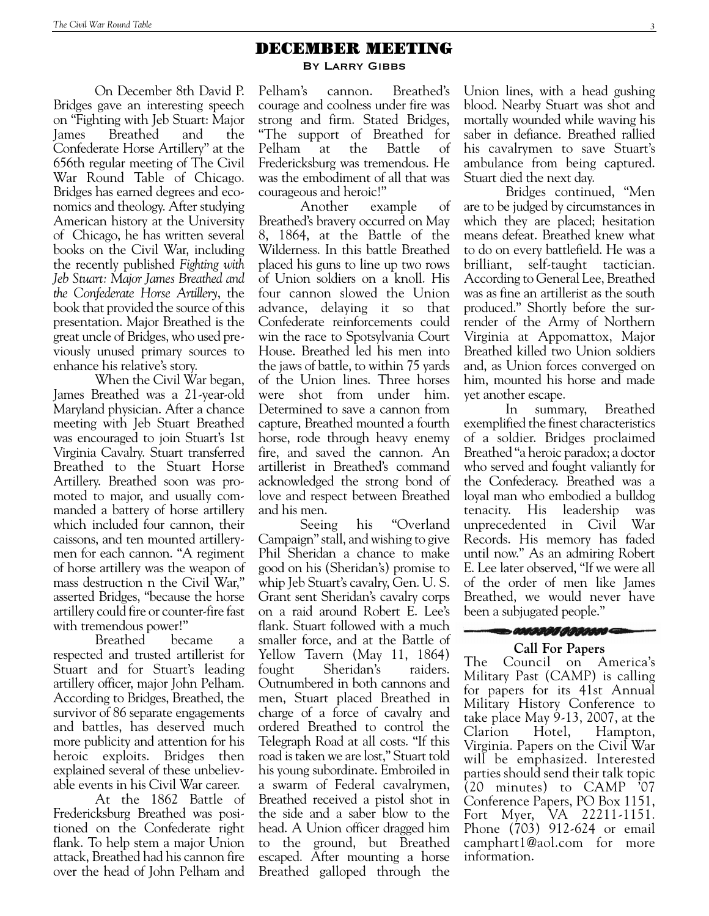### DECEMBER MEETING

By Larry Gibbs

Pelham's cannon. Breathed's courage and coolness under fire was strong and firm. Stated Bridges, "The support of Breathed for Pelham at the Battle of Fredericksburg was tremendous. He was the embodiment of all that was courageous and heroic!"

Another example of Breathed's bravery occurred on May 8, 1864, at the Battle of the Wilderness. In this battle Breathed placed his guns to line up two rows of Union soldiers on a knoll. His four cannon slowed the Union advance, delaying it so that Confederate reinforcements could win the race to Spotsylvania Court House. Breathed led his men into the jaws of battle, to within 75 yards of the Union lines. Three horses were shot from under him. Determined to save a cannon from capture, Breathed mounted a fourth horse, rode through heavy enemy fire, and saved the cannon. An artillerist in Breathed's command acknowledged the strong bond of love and respect between Breathed and his men.

Seeing his "Overland Campaign"stall, andwishing to give Phil Sheridan a chance to make good on his (Sheridan's) promise to whip Jeb Stuart's cavalry, Gen. U. S. Grant sent Sheridan's cavalry corps on a raid around Robert E. Lee's flank. Stuart followed with a much smaller force, and at the Battle of Yellow Tavern (May 11, 1864) fought Sheridan's raiders. Outnumbered in both cannons and men, Stuart placed Breathed in charge of a force of cavalry and ordered Breathed to control the Telegraph Road at all costs. "If this road is taken we are lost," Stuart told his young subordinate. Embroiled in a swarm of Federal cavalrymen, Breathed received a pistol shot in the side and a saber blow to the head. A Union officer dragged him to the ground, but Breathed escaped. After mounting a horse Breathed galloped through the

Union lines, with a head gushing blood. Nearby Stuart was shot and mortally wounded while waving his saber in defiance. Breathed rallied his cavalrymen to save Stuart's ambulance from being captured. Stuart died the next day.

Bridges continued, "Men are to be judged by circumstances in which they are placed; hesitation means defeat. Breathed knew what to do on every battlefield. He was a brilliant, self-taught tactician. According to General Lee, Breathed was as fine an artillerist as the south produced." Shortly before the surrender of the Army of Northern Virginia at Appomattox, Major Breathed killed two Union soldiers and, as Union forces converged on him, mounted his horse and made yet another escape.

In summary, Breathed exemplified the finest characteristics of a soldier. Bridges proclaimed Breathed "a heroic paradox; a doctor who served and fought valiantly for the Confederacy. Breathed was a loyal man who embodied a bulldog tenacity. His leadership was unprecedented in Civil War Records. His memory has faded until now." As an admiring Robert E. Lee later observed, "If we were all of the order of men like James Breathed, we would never have been a subjugated people."

# **SANDING ADRIAN COM**

#### **Call For Papers**

The Council on America's Military Past (CAMP) is calling for papers for its 41st Annual Military History Conference to take place May 9-13, 2007, at the Clarion Hotel, Hampton, Virginia. Papers on the Civil War will be emphasized. Interested parties should send their talk topic (20 minutes) to CAMP '07 Conference Papers, PO Box 1151, Fort Myer, VA 22211-1151. Phone (703) 912-624 or email camphart1@aol.com for more information.

On December 8th David P. Bridges gave an interesting speech on "Fighting with Jeb Stuart: Major James Breathed and the Confederate Horse Artillery" at the 656th regular meeting of The Civil War Round Table of Chicago. Bridges has earned degrees and economics and theology. After studying American history at the University of Chicago, he has written several books on the Civil War, including the recently published *Fighting with Jeb Stuart: Major James Breathed and the Confederate Horse Artillery*, the book that provided the source of this presentation. Major Breathed is the great uncle of Bridges, who used previously unused primary sources to enhance his relative's story.

When the Civil War began, James Breathed was a 21-year-old Maryland physician. After a chance meeting with Jeb Stuart Breathed was encouraged to join Stuart's 1st Virginia Cavalry. Stuart transferred Breathed to the Stuart Horse Artillery. Breathed soon was promoted to major, and usually commanded a battery of horse artillery which included four cannon, their caissons, and ten mounted artillerymen for each cannon. "A regiment of horse artillery was the weapon of mass destruction n the Civil War," asserted Bridges, "because the horse artillery could fire or counter-fire fast with tremendous power!"

Breathed became a respected and trusted artillerist for Stuart and for Stuart's leading artillery officer, major John Pelham. According to Bridges, Breathed, the survivor of 86 separate engagements and battles, has deserved much more publicity and attention for his heroic exploits. Bridges then explained several of these unbelievable events in his Civil War career.

At the 1862 Battle of Fredericksburg Breathed was positioned on the Confederate right flank. To help stem a major Union attack, Breathed had his cannon fire over the head of John Pelham and